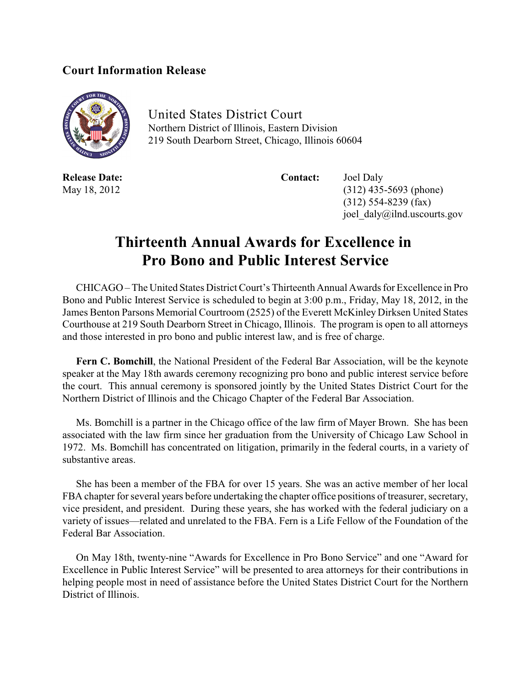## **Court Information Release**



United States District Court Northern District of Illinois, Eastern Division 219 South Dearborn Street, Chicago, Illinois 60604

**Release Date: Contact:** Joel Daly

May 18, 2012 (312) 435-5693 (phone) (312) 554-8239 (fax) joel\_daly@ilnd.uscourts.gov

## **Thirteenth Annual Awards for Excellence in Pro Bono and Public Interest Service**

CHICAGO – The United States District Court's Thirteenth Annual Awards for Excellence in Pro Bono and Public Interest Service is scheduled to begin at 3:00 p.m., Friday, May 18, 2012, in the James Benton Parsons Memorial Courtroom (2525) of the Everett McKinley Dirksen United States Courthouse at 219 South Dearborn Street in Chicago, Illinois. The program is open to all attorneys and those interested in pro bono and public interest law, and is free of charge.

**Fern C. Bomchill**, the National President of the Federal Bar Association, will be the keynote speaker at the May 18th awards ceremony recognizing pro bono and public interest service before the court. This annual ceremony is sponsored jointly by the United States District Court for the Northern District of Illinois and the Chicago Chapter of the Federal Bar Association.

Ms. Bomchill is a partner in the Chicago office of the law firm of Mayer Brown. She has been associated with the law firm since her graduation from the University of Chicago Law School in 1972. Ms. Bomchill has concentrated on litigation, primarily in the federal courts, in a variety of substantive areas.

She has been a member of the FBA for over 15 years. She was an active member of her local FBA chapter for several years before undertaking the chapter office positions of treasurer, secretary, vice president, and president. During these years, she has worked with the federal judiciary on a variety of issues—related and unrelated to the FBA. Fern is a Life Fellow of the Foundation of the Federal Bar Association.

On May 18th, twenty-nine "Awards for Excellence in Pro Bono Service" and one "Award for Excellence in Public Interest Service" will be presented to area attorneys for their contributions in helping people most in need of assistance before the United States District Court for the Northern District of Illinois.